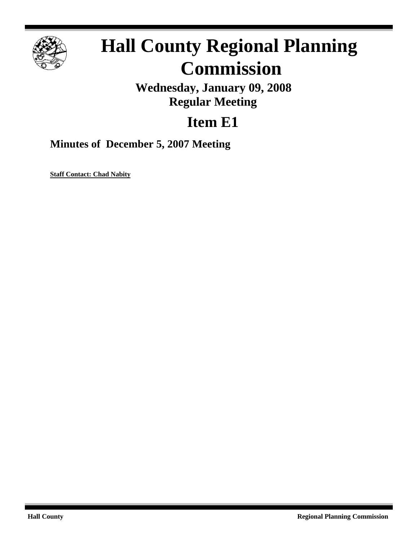

# **Hall County Regional Planning Commission**

**Wednesday, January 09, 2008 Regular Meeting**

# **Item E1**

**Minutes of December 5, 2007 Meeting**

**Staff Contact: Chad Nabity**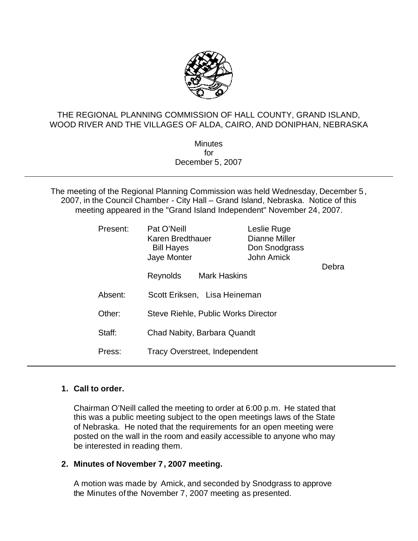

### THE REGIONAL PLANNING COMMISSION OF HALL COUNTY, GRAND ISLAND, WOOD RIVER AND THE VILLAGES OF ALDA, CAIRO, AND DONIPHAN, NEBRASKA

**Minutes** for December 5, 2007

The meeting of the Regional Planning Commission was held Wednesday, December 5, 2007, in the Council Chamber - City Hall – Grand Island, Nebraska. Notice of this meeting appeared in the "Grand Island Independent" November 24, 2007.

| Present: | Pat O'Neill<br>Karen Bredthauer<br><b>Bill Hayes</b><br>Jaye Monter | Leslie Ruge<br>Dianne Miller<br>Don Snodgrass<br><b>John Amick</b> |       |
|----------|---------------------------------------------------------------------|--------------------------------------------------------------------|-------|
|          | <b>Mark Haskins</b><br>Reynolds                                     |                                                                    | Debra |
| Absent:  | Scott Eriksen, Lisa Heineman                                        |                                                                    |       |
| Other:   | Steve Riehle, Public Works Director                                 |                                                                    |       |
| Staff:   | Chad Nabity, Barbara Quandt                                         |                                                                    |       |
| Press:   | <b>Tracy Overstreet, Independent</b>                                |                                                                    |       |

#### **1. Call to order.**

Chairman O'Neill called the meeting to order at 6:00 p.m. He stated that this was a public meeting subject to the open meetings laws of the State of Nebraska. He noted that the requirements for an open meeting were posted on the wall in the room and easily accessible to anyone who may be interested in reading them.

#### **2. Minutes of November 7, 2007 meeting.**

A motion was made by Amick, and seconded by Snodgrass to approve the Minutes of the November 7, 2007 meeting as presented.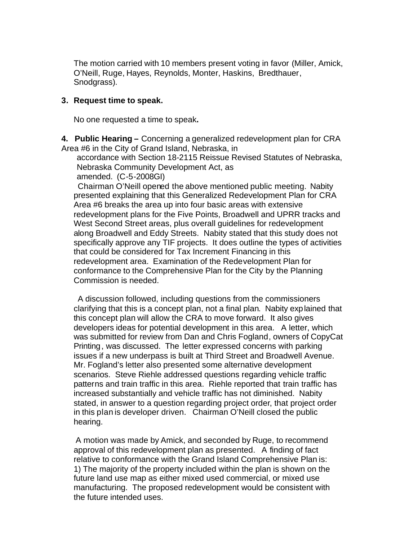The motion carried with 10 members present voting in favor (Miller, Amick, O'Neill, Ruge, Hayes, Reynolds, Monter, Haskins, Bredthauer, Snodgrass).

#### **3. Request time to speak.**

No one requested a time to speak**.**

**4. Public Hearing –** Concerning a generalized redevelopment plan for CRA Area #6 in the City of Grand Island, Nebraska, in

accordance with Section 18-2115 Reissue Revised Statutes of Nebraska, Nebraska Community Development Act, as

amended. (C-5-2008GI)

Chairman O'Neill opened the above mentioned public meeting.Nabity presented explaining that this Generalized Redevelopment Plan for CRA Area #6 breaks the area up into four basic areas with extensive redevelopment plans for the Five Points, Broadwell and UPRR tracks and West Second Street areas, plus overall guidelines for redevelopment along Broadwell and Eddy Streets. Nabity stated that this study does not specifically approve any TIF projects. It does outline the types of activities that could be considered for Tax Increment Financing in this redevelopment area. Examination of the Redevelopment Plan for conformance to the Comprehensive Plan for the City by the Planning Commission is needed.

 A discussion followed, including questions from the commissioners clarifying that this is a concept plan, not a final plan. Nabity explained that this concept plan will allow the CRA to move forward. It also gives developers ideas for potential development in this area. A letter, which was submitted for review from Dan and Chris Fogland, owners of CopyCat Printing, was discussed. The letter expressed concerns with parking issues if a new underpass is built at Third Street and Broadwell Avenue. Mr. Fogland's letter also presented some alternative development scenarios. Steve Riehle addressed questions regarding vehicle traffic patterns and train traffic in this area. Riehle reported that train traffic has increased substantially and vehicle traffic has not diminished. Nabity stated, in answer to a question regarding project order, that project order in this plan is developer driven. Chairman O'Neill closed the public hearing.

A motion was made by Amick, and seconded by Ruge, to recommend approval of this redevelopment plan as presented. A finding of fact relative to conformance with the Grand Island Comprehensive Plan is: 1) The majority of the property included within the plan is shown on the future land use map as either mixed used commercial, or mixed use manufacturing. The proposed redevelopment would be consistent with the future intended uses.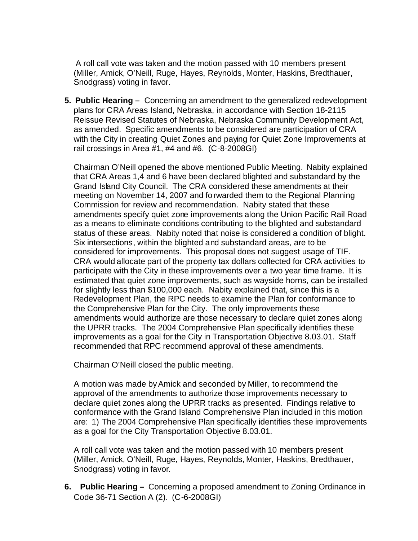A roll call vote was taken and the motion passed with 10 members present (Miller, Amick, O'Neill, Ruge, Hayes, Reynolds, Monter, Haskins, Bredthauer, Snodgrass) voting in favor.

**5. Public Hearing –** Concerning an amendment to the generalized redevelopment plans for CRA Areas Island, Nebraska, in accordance with Section 18-2115 Reissue Revised Statutes of Nebraska, Nebraska Community Development Act, as amended. Specific amendments to be considered are participation of CRA with the City in creating Quiet Zones and paying for Quiet Zone Improvements at rail crossings in Area #1, #4 and #6. (C-8-2008GI)

Chairman O'Neill opened the above mentioned Public Meeting. Nabity explained that CRA Areas 1,4 and 6 have been declared blighted and substandard by the Grand Island City Council. The CRA considered these amendments at their meeting on November 14, 2007 and forwarded them to the Regional Planning Commission for review and recommendation. Nabity stated that these amendments specify quiet zone improvements along the Union Pacific Rail Road as a means to eliminate conditions contributing to the blighted and substandard status of these areas. Nabity noted that noise is considered a condition of blight. Six intersections, within the blighted and substandard areas, are to be considered for improvements. This proposal does not suggest usage of TIF. CRA would allocate part of the property tax dollars collected for CRA activities to participate with the City in these improvements over a two year time frame. It is estimated that quiet zone improvements, such as wayside horns, can be installed for slightly less than \$100,000 each. Nabity explained that, since this is a Redevelopment Plan, the RPC needs to examine the Plan for conformance to the Comprehensive Plan for the City. The only improvements these amendments would authorize are those necessary to declare quiet zones along the UPRR tracks. The 2004 Comprehensive Plan specifically identifies these improvements as a goal for the City in Transportation Objective 8.03.01. Staff recommended that RPC recommend approval of these amendments.

Chairman O'Neill closed the public meeting.

A motion was made byAmick and seconded by Miller, to recommend the approval of the amendments to authorize those improvements necessary to declare quiet zones along the UPRR tracks as presented. Findings relative to conformance with the Grand Island Comprehensive Plan included in this motion are: 1) The 2004 Comprehensive Plan specifically identifies these improvements as a goal for the City Transportation Objective 8.03.01.

A roll call vote was taken and the motion passed with 10 members present (Miller, Amick, O'Neill, Ruge, Hayes, Reynolds, Monter, Haskins, Bredthauer, Snodgrass) voting in favor.

**6. Public Hearing –** Concerning a proposed amendment to Zoning Ordinance in Code 36-71 Section A (2). (C-6-2008GI)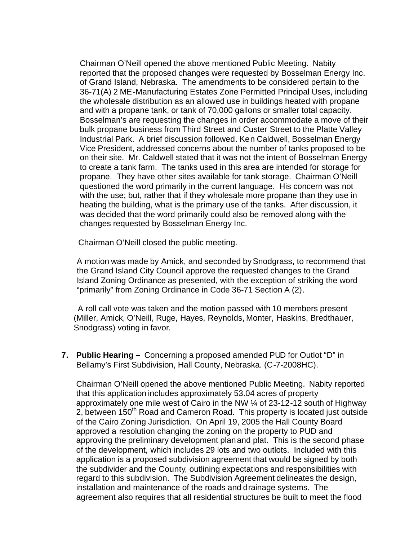Chairman O'Neill opened the above mentioned Public Meeting. Nabity reported that the proposed changes were requested by Bosselman Energy Inc. of Grand Island, Nebraska. The amendments to be considered pertain to the 36-71(A) 2 ME-Manufacturing Estates Zone Permitted Principal Uses, including the wholesale distribution as an allowed use in buildings heated with propane and with a propane tank, or tank of 70,000 gallons or smaller total capacity. Bosselman's are requesting the changes in order accommodate a move of their bulk propane business from Third Street and Custer Street to the Platte Valley Industrial Park. A brief discussion followed. Ken Caldwell, Bosselman Energy Vice President, addressed concerns about the number of tanks proposed to be on their site. Mr. Caldwell stated that it was not the intent of Bosselman Energy to create a tank farm. The tanks used in this area are intended for storage for propane. They have other sites available for tank storage. Chairman O'Neill questioned the word primarily in the current language. His concern was not with the use; but, rather that if they wholesale more propane than they use in heating the building, what is the primary use of the tanks. After discussion, it was decided that the word primarily could also be removed along with the changes requested by Bosselman Energy Inc.

Chairman O'Neill closed the public meeting.

A motion was made by Amick, and seconded by Snodgrass, to recommend that the Grand Island City Council approve the requested changes to the Grand Island Zoning Ordinance as presented, with the exception of striking the word "primarily" from Zoning Ordinance in Code 36-71 Section A (2).

 A roll call vote was taken and the motion passed with 10 members present (Miller, Amick, O'Neill, Ruge, Hayes, Reynolds, Monter, Haskins, Bredthauer, Snodgrass) voting in favor.

**7. Public Hearing –** Concerning a proposed amended PUD for Outlot "D" in Bellamy's First Subdivision, Hall County, Nebraska. (C-7-2008HC).

Chairman O'Neill opened the above mentioned Public Meeting. Nabity reported that this application includes approximately 53.04 acres of property approximately one mile west of Cairo in the NW ¼ of 23-12-12 south of Highway 2, between 150<sup>th</sup> Road and Cameron Road. This property is located just outside of the Cairo Zoning Jurisdiction. On April 19, 2005 the Hall County Board approved a resolution changing the zoning on the property to PUD and approving the preliminary development planand plat. This is the second phase of the development, which includes 29 lots and two outlots. Included with this application is a proposed subdivision agreement that would be signed by both the subdivider and the County, outlining expectations and responsibilities with regard to this subdivision. The Subdivision Agreement delineates the design, installation and maintenance of the roads and drainage systems. The agreement also requires that all residential structures be built to meet the flood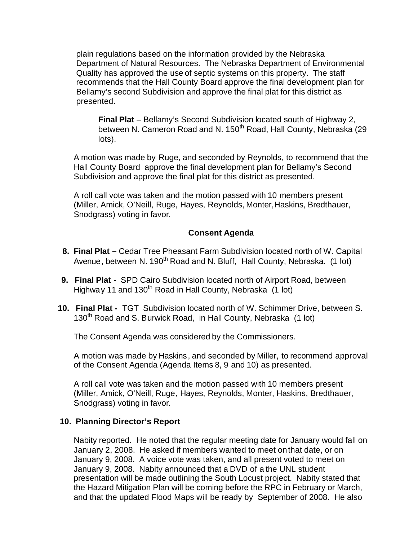plain regulations based on the information provided by the Nebraska Department of Natural Resources. The Nebraska Department of Environmental Quality has approved the use of septic systems on this property. The staff recommends that the Hall County Board approve the final development plan for Bellamy's second Subdivision and approve the final plat for this district as presented.

**Final Plat** – Bellamy's Second Subdivision located south of Highway 2, between N. Cameron Road and N. 150<sup>th</sup> Road, Hall County, Nebraska (29 lots).

A motion was made by Ruge, and seconded by Reynolds, to recommend that the Hall County Board approve the final development plan for Bellamy's Second Subdivision and approve the final plat for this district as presented.

A roll call vote was taken and the motion passed with 10 members present (Miller, Amick, O'Neill, Ruge, Hayes, Reynolds, Monter,Haskins, Bredthauer, Snodgrass) voting in favor.

# **Consent Agenda**

- **8. Final Plat –** Cedar Tree Pheasant Farm Subdivision located north of W. Capital Avenue, between N. 190<sup>th</sup> Road and N. Bluff, Hall County, Nebraska. (1 lot)
- **9. Final Plat -** SPD Cairo Subdivision located north of Airport Road, between Highway 11 and  $130<sup>th</sup>$  Road in Hall County, Nebraska  $(1$  lot)
- **10. Final Plat -** TGT Subdivision located north of W. Schimmer Drive, between S. 130<sup>th</sup> Road and S. Burwick Road, in Hall County, Nebraska (1 lot)

The Consent Agenda was considered by the Commissioners.

A motion was made by Haskins, and seconded by Miller, to recommend approval of the Consent Agenda (Agenda Items 8, 9 and 10) as presented.

A roll call vote was taken and the motion passed with 10 members present (Miller, Amick, O'Neill, Ruge, Hayes, Reynolds, Monter, Haskins, Bredthauer, Snodgrass) voting in favor.

#### **10. Planning Director's Report**

Nabity reported. He noted that the regular meeting date for January would fall on January 2, 2008. He asked if members wanted to meet on that date, or on January 9, 2008. A voice vote was taken, and all present voted to meet on January 9, 2008. Nabity announced that a DVD of a the UNL student presentation will be made outlining the South Locust project. Nabity stated that the Hazard Mitigation Plan will be coming before the RPC in February or March, and that the updated Flood Maps will be ready by September of 2008. He also